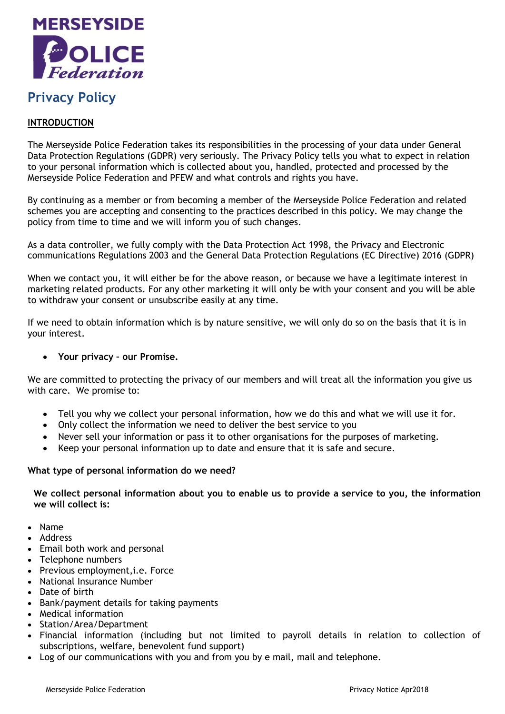

# **Privacy Policy**

# **INTRODUCTION**

The Merseyside Police Federation takes its responsibilities in the processing of your data under General Data Protection Regulations (GDPR) very seriously. The Privacy Policy tells you what to expect in relation to your personal information which is collected about you, handled, protected and processed by the Merseyside Police Federation and PFEW and what controls and rights you have.

By continuing as a member or from becoming a member of the Merseyside Police Federation and related schemes you are accepting and consenting to the practices described in this policy. We may change the policy from time to time and we will inform you of such changes.

As a data controller, we fully comply with the Data Protection Act 1998, the Privacy and Electronic communications Regulations 2003 and the General Data Protection Regulations (EC Directive) 2016 (GDPR)

When we contact you, it will either be for the above reason, or because we have a legitimate interest in marketing related products. For any other marketing it will only be with your consent and you will be able to withdraw your consent or unsubscribe easily at any time.

If we need to obtain information which is by nature sensitive, we will only do so on the basis that it is in your interest.

## **Your privacy – our Promise.**

We are committed to protecting the privacy of our members and will treat all the information you give us with care. We promise to:

- Tell you why we collect your personal information, how we do this and what we will use it for.
- Only collect the information we need to deliver the best service to you
- Never sell your information or pass it to other organisations for the purposes of marketing.
- Keep your personal information up to date and ensure that it is safe and secure.

#### **What type of personal information do we need?**

**We collect personal information about you to enable us to provide a service to you, the information we will collect is:**

- Name
- Address
- Email both work and personal
- Telephone numbers
- Previous employment, i.e. Force
- National Insurance Number
- Date of birth
- Bank/payment details for taking payments
- Medical information
- Station/Area/Department
- Financial information (including but not limited to payroll details in relation to collection of subscriptions, welfare, benevolent fund support)
- Log of our communications with you and from you by e mail, mail and telephone.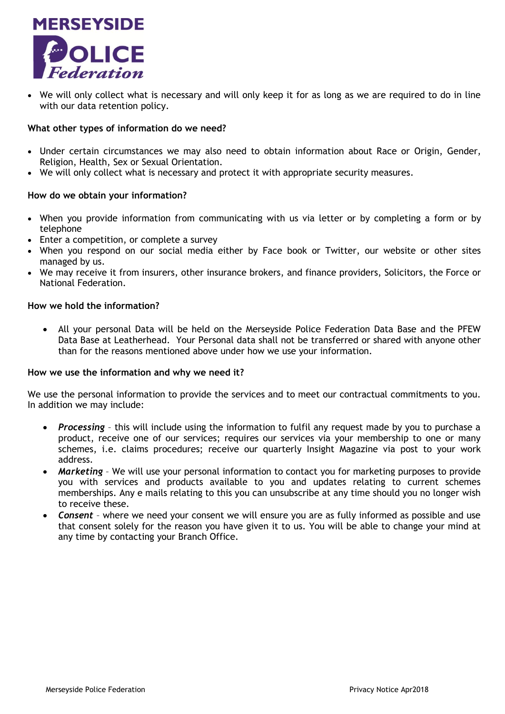

 We will only collect what is necessary and will only keep it for as long as we are required to do in line with our data retention policy.

#### **What other types of information do we need?**

- Under certain circumstances we may also need to obtain information about Race or Origin, Gender, Religion, Health, Sex or Sexual Orientation.
- We will only collect what is necessary and protect it with appropriate security measures.

#### **How do we obtain your information?**

- When you provide information from communicating with us via letter or by completing a form or by telephone
- Enter a competition, or complete a survey
- When you respond on our social media either by Face book or Twitter, our website or other sites managed by us.
- We may receive it from insurers, other insurance brokers, and finance providers, Solicitors, the Force or National Federation.

#### **How we hold the information?**

 All your personal Data will be held on the Merseyside Police Federation Data Base and the PFEW Data Base at Leatherhead. Your Personal data shall not be transferred or shared with anyone other than for the reasons mentioned above under how we use your information.

#### **How we use the information and why we need it?**

We use the personal information to provide the services and to meet our contractual commitments to you. In addition we may include:

- *Processing* this will include using the information to fulfil any request made by you to purchase a product, receive one of our services; requires our services via your membership to one or many schemes, i.e. claims procedures; receive our quarterly Insight Magazine via post to your work address.
- *Marketing* We will use your personal information to contact you for marketing purposes to provide you with services and products available to you and updates relating to current schemes memberships. Any e mails relating to this you can unsubscribe at any time should you no longer wish to receive these.
- *Consent* where we need your consent we will ensure you are as fully informed as possible and use that consent solely for the reason you have given it to us. You will be able to change your mind at any time by contacting your Branch Office.